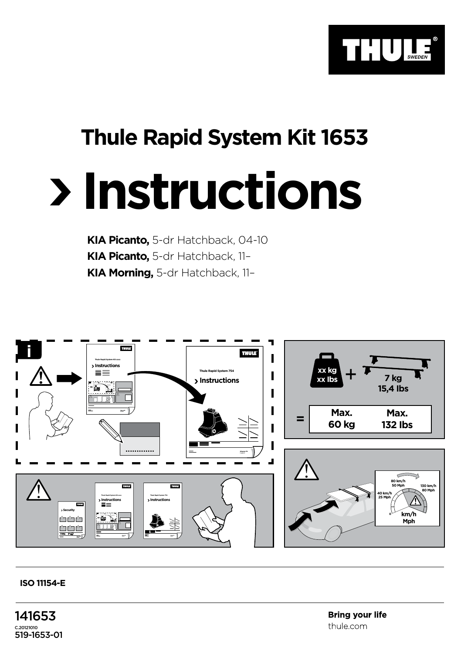

## **Thule Rapid System Kit 1653**

## **Instructions**

**KIA Picanto,** 5-dr Hatchback, 04-10 **KIA Picanto,** 5-dr Hatchback, 11– **KIA Morning,** 5-dr Hatchback, 11–



## **ISO 11154-E**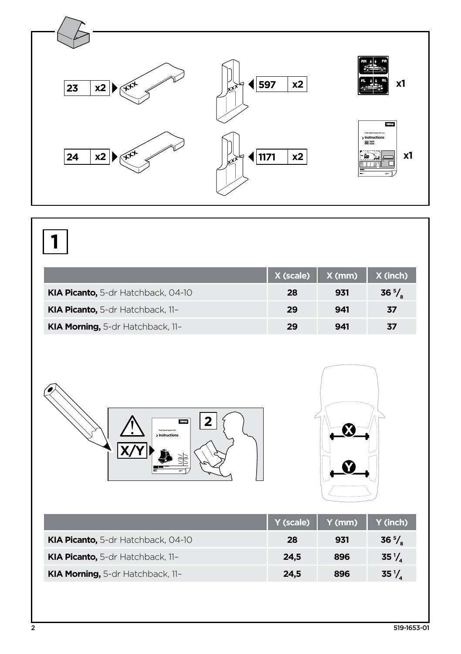

## **1**

|                                    | $X$ (scale) | $X$ (mm) | X (inch)                       |
|------------------------------------|-------------|----------|--------------------------------|
| KIA Picanto, 5-dr Hatchback, 04-10 | 28          | 931      | 36 <sup>5</sup> / <sub>6</sub> |
| KIA Picanto, 5-dr Hatchback, 11-   | 29          | 941      | 37                             |
| KIA Morning, 5-dr Hatchback, 11-   | 29          | 941      | 37                             |





|                                    | Y (scale) | Y (mm) | Y (inch)        |
|------------------------------------|-----------|--------|-----------------|
| KIA Picanto, 5-dr Hatchback, 04-10 | 28        | 931    | $36\frac{5}{6}$ |
| KIA Picanto, 5-dr Hatchback, 11-   | 24.5      | 896    | $35\frac{1}{4}$ |
| KIA Morning, 5-dr Hatchback, 11-   | 24.5      | 896    | $35\frac{1}{4}$ |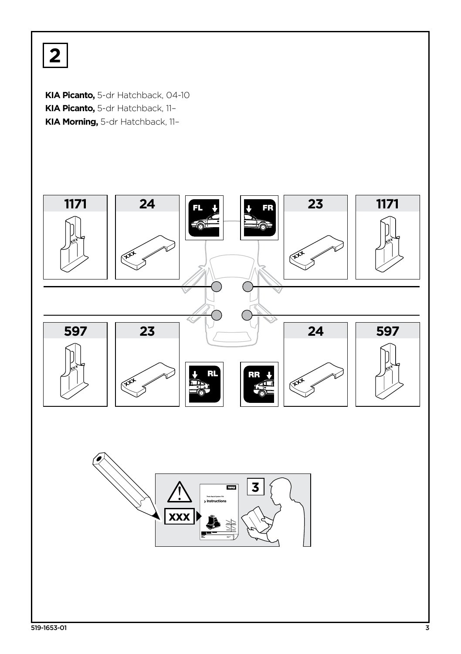**2**

**KIA Picanto,** 5-dr Hatchback, 04-10 **KIA Picanto,** 5-dr Hatchback, 11– **KIA Morning,** 5-dr Hatchback, 11–